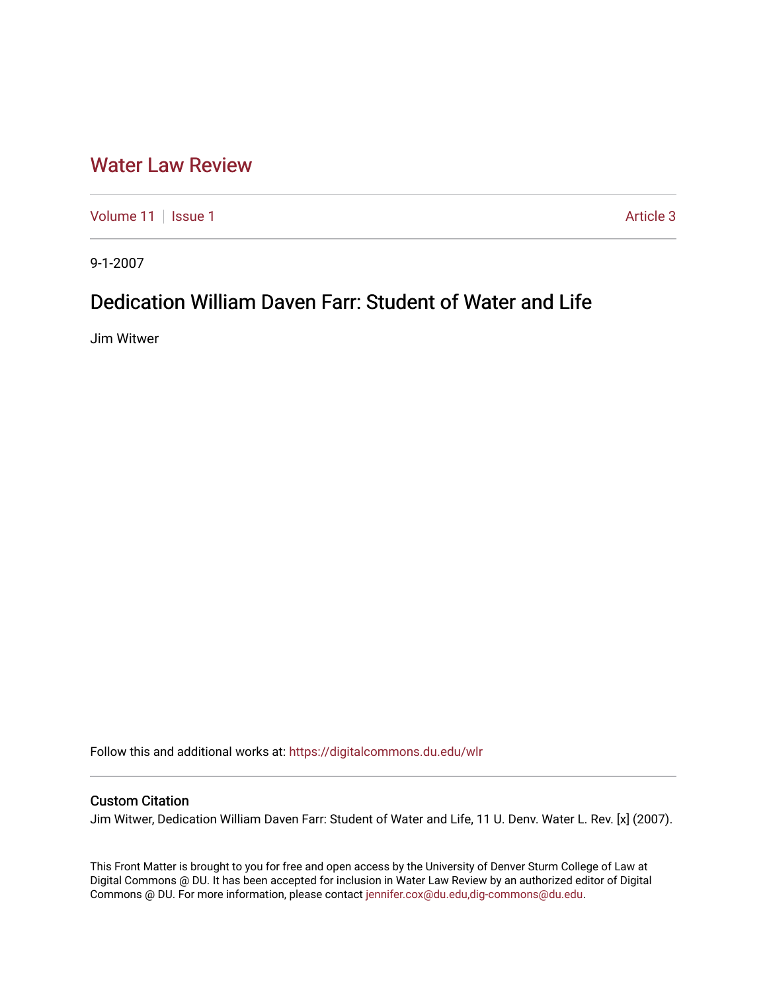## [Water Law Review](https://digitalcommons.du.edu/wlr)

[Volume 11](https://digitalcommons.du.edu/wlr/vol11) | [Issue 1](https://digitalcommons.du.edu/wlr/vol11/iss1) Article 3

9-1-2007

# Dedication William Daven Farr: Student of Water and Life

Jim Witwer

Follow this and additional works at: [https://digitalcommons.du.edu/wlr](https://digitalcommons.du.edu/wlr?utm_source=digitalcommons.du.edu%2Fwlr%2Fvol11%2Fiss1%2F3&utm_medium=PDF&utm_campaign=PDFCoverPages) 

### Custom Citation

Jim Witwer, Dedication William Daven Farr: Student of Water and Life, 11 U. Denv. Water L. Rev. [x] (2007).

This Front Matter is brought to you for free and open access by the University of Denver Sturm College of Law at Digital Commons @ DU. It has been accepted for inclusion in Water Law Review by an authorized editor of Digital Commons @ DU. For more information, please contact [jennifer.cox@du.edu,dig-commons@du.edu.](mailto:jennifer.cox@du.edu,dig-commons@du.edu)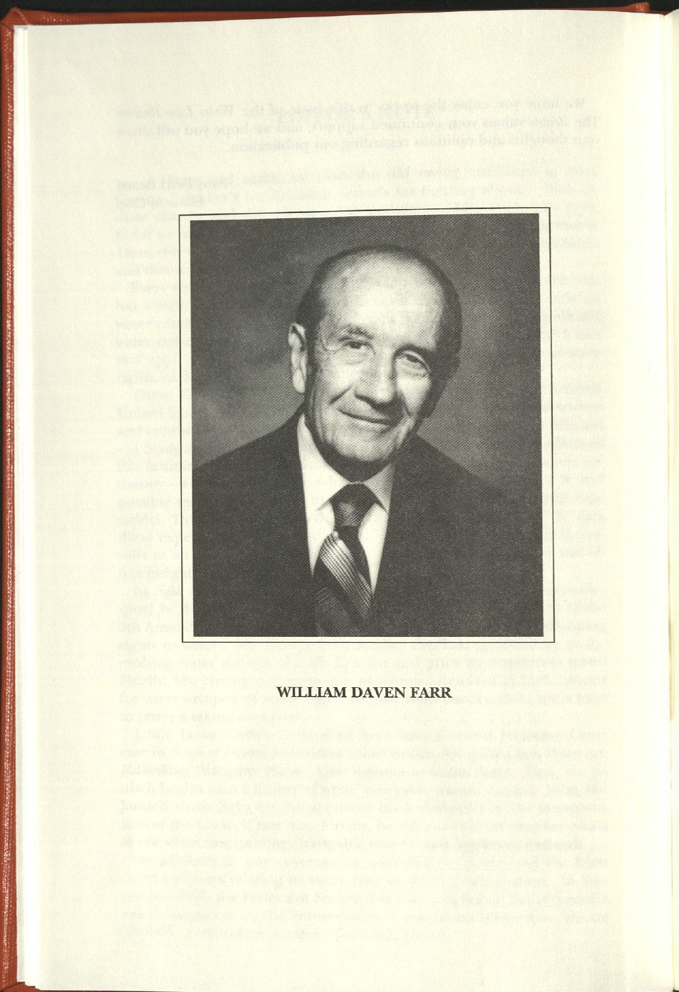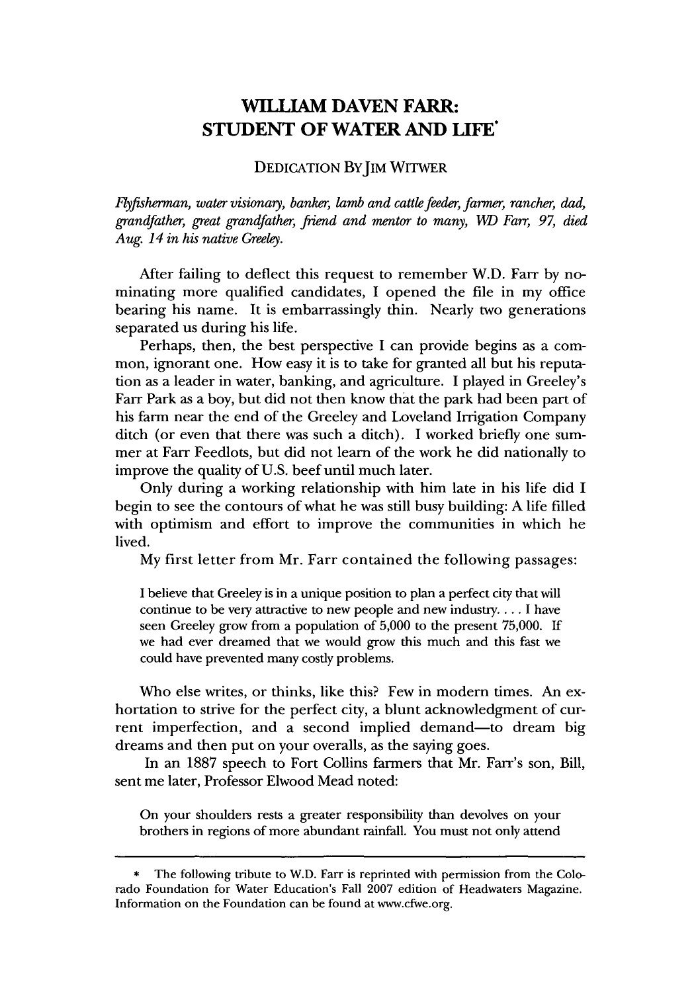### **WILLIAM DAVEN FARR: STUDENT OF WATER AND LIFE**

#### DEDICATION BY IM WITWER

*flyfisherman, water visionary, banker, lamb and cattle feeder, farmer, rancher, dad, grandfather, great grandfather, friend and mentor to many, WD Farr, 97, died Aug. 14 in his native Greeley.*

After failing to deflect this request to remember W.D. Farr by nominating more qualified candidates, I opened the file in my office bearing his name. It is embarrassingly thin. Nearly two generations separated us during his life.

Perhaps, then, the best perspective I can provide begins as a common, ignorant one. How easy it is to take for granted all but his reputation as a leader in water, banking, and agriculture. I played in Greeley's Farr Park as a boy, but did not then know that the park had been part of his farm near the end of the Greeley and Loveland Irrigation Company ditch (or even that there was such a ditch). I worked briefly one summer at Farr Feedlots, but did not learn of the work he did nationally to improve the quality of U.S. beef until much later.

Only during a working relationship with him late in his life did I begin to see the contours of what he was still busy building: A life filled with optimism and effort to improve the communities in which he lived.

My first letter from Mr. Farr contained the following passages:

I believe that Greeley is in a unique position to plan a perfect city that will continue to be very attractive to new people and new industry.... I have seen Greeley grow from a population of 5,000 to the present 75,000. If we had ever dreamed that we would grow this much and this fast we could have prevented many costly problems.

Who else writes, or thinks, like this? Few in modern times. An exhortation to strive for the perfect city, a blunt acknowledgment of current imperfection, and a second implied demand-to dream big dreams and then put on your overalls, as the saying goes.

In an 1887 speech to Fort Collins farmers that Mr. Farr's son, Bill, sent me later, Professor Elwood Mead noted:

On your shoulders rests a greater responsibility than devolves on your brothers in regions of more abundant rainfall. You must not only attend

The following tribute to W.D. Farr is reprinted with permission from the Colorado Foundation for Water Education's Fall 2007 edition of Headwaters Magazine. Information on the Foundation can be found at www.cfwe.org.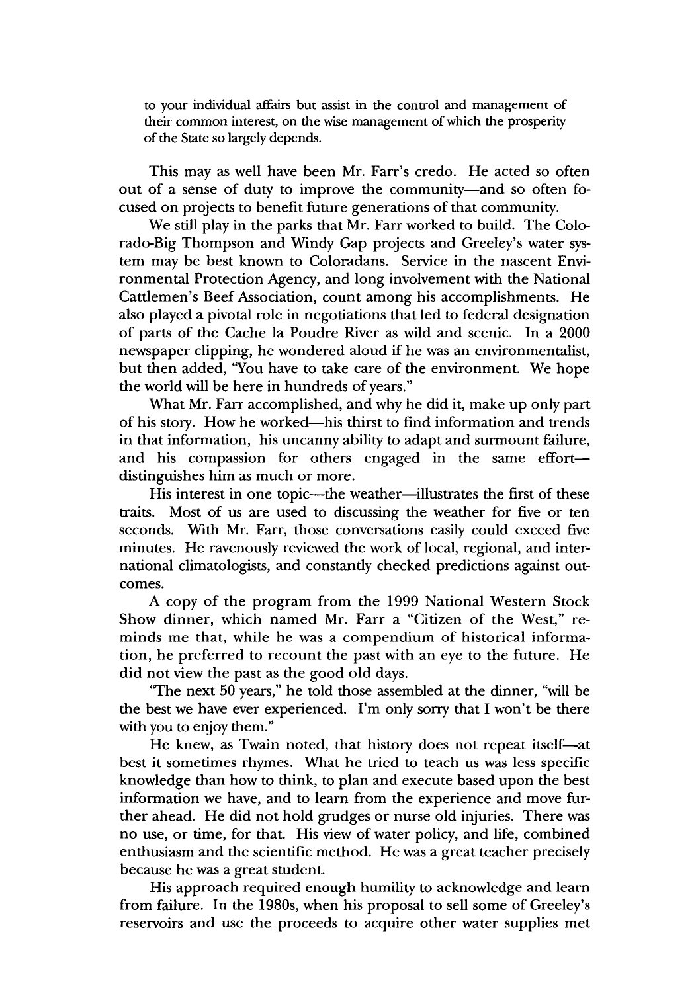to your individual affairs but assist in the control and management of their common interest, on the wise management of which the prosperity of the State so largely depends.

This may as well have been Mr. Farr's credo. He acted so often out of a sense of duty to improve the community-and so often focused on projects to benefit future generations of that community.

We still play in the parks that Mr. Farr worked to build. The Colorado-Big Thompson and Windy Gap projects and Greeley's water system may be best known to Coloradans. Service in the nascent Environmental Protection Agency, and long involvement with the National Cattlemen's Beef Association, count among his accomplishments. He also played a pivotal role in negotiations that led to federal designation of parts of the Cache la Poudre River as wild and scenic. In a 2000 newspaper clipping, he wondered aloud if he was an environmentalist, but then added, "You have to take care of the environment. We hope the world will be here in hundreds of years."

What Mr. Farr accomplished, and why he did it, make up only part of his story. How he worked-his thirst to find information and trends in that information, his uncanny ability to adapt and surmount failure, and his compassion for others engaged in the same effortdistinguishes him as much or more.

His interest in one topic—the weather—illustrates the first of these traits. Most of us are used to discussing the weather for five or ten seconds. With Mr. Farr, those conversations easily could exceed five minutes. He ravenously reviewed the work of local, regional, and international climatologists, and constantly checked predictions against outcomes.

**A** copy of the program from the **1999** National Western Stock Show dinner, which named Mr. Farr a "Citizen of the West," reminds me that, while he was a compendium of historical information, he preferred to recount the past with an eye to the future. He did not view the past as the good old days.

"The next **50** years," he told those assembled at the dinner, "will be the best we have ever experienced. I'm only sorry that **I** won't be there with you to enjoy them."

He knew, as Twain noted, that history does not repeat itself-at best it sometimes rhymes. What he tried to teach us was less specific knowledge than how to think, to plan and execute based upon the best information we have, and to learn from the experience and move further ahead. He did not hold grudges or nurse old injuries. There was no use, or time, for that. His view of water policy, and life, combined enthusiasm and the scientific method. He was a great teacher precisely because he was a great student.

His approach required enough humility to acknowledge and learn from failure. In the 1980s, when his proposal to sell some of Greeley's reservoirs and use the proceeds to acquire other water supplies met